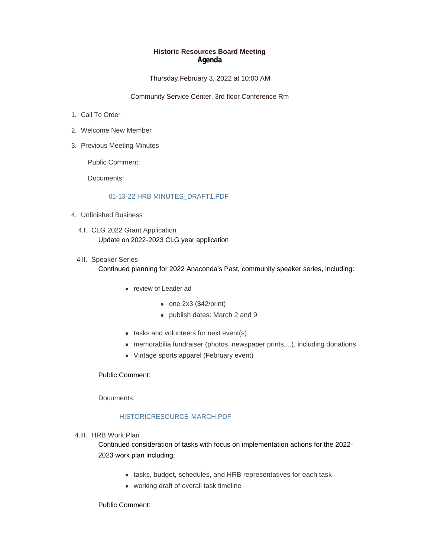### **Historic Resources Board Meeting Agenda**

Thursday,February 3, 2022 at 10:00 AM

Community Service Center, 3rd floor Conference Rm

- 1. Call To Order
- Welcome New Member 2.
- 3. Previous Meeting Minutes

Public Comment:

Documents:

#### [01-13-22 HRB MINUTES\\_DRAFT1.PDF](https://www.adlc.us/AgendaCenter/ViewFile/Item/289?fileID=515)

- Unfinished Business 4.
	- 4.I. CLG 2022 Grant Application Update on 2022-2023 CLG year application
	- 4.II. Speaker Series Continued planning for 2022 Anaconda's Past, community speaker series, including:
		- <sup>l</sup> review of Leader ad
			- $\bullet$  one 2x3 (\$42/print)
			- publish dates: March 2 and 9
		- $\bullet$  tasks and volunteers for next event(s)
		- memorabilia fundraiser (photos, newspaper prints,...), including donations
		- Vintage sports apparel (February event)

## Public Comment:

Documents:

# [HISTORICRESOURCE-MARCH.PDF](https://www.adlc.us/AgendaCenter/ViewFile/Item/291?fileID=516)

4.III. HRB Work Plan

Continued consideration of tasks with focus on implementation actions for the 2022- 2023 work plan including:

- tasks, budget, schedules, and HRB representatives for each task
- working draft of overall task timeline

Public Comment: